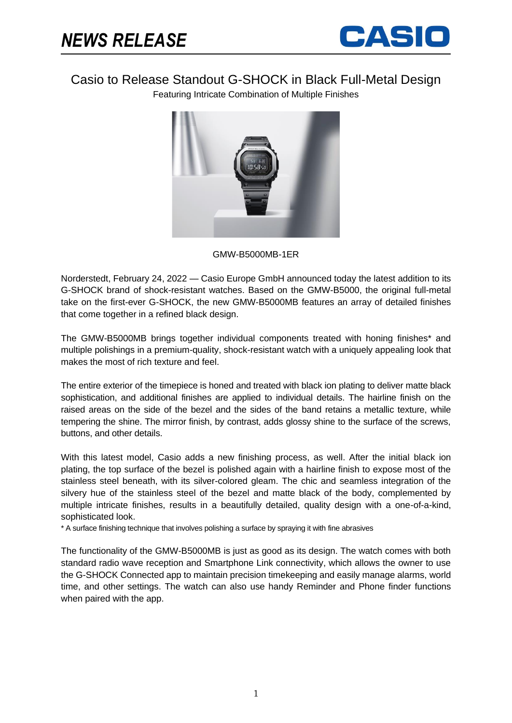

Casio to Release Standout G-SHOCK in Black Full-Metal Design

Featuring Intricate Combination of Multiple Finishes



## GMW-B5000MB-1ER

Norderstedt, February 24, 2022 — Casio Europe GmbH announced today the latest addition to its G-SHOCK brand of shock-resistant watches. Based on the GMW-B5000, the original full-metal take on the first-ever G-SHOCK, the new GMW-B5000MB features an array of detailed finishes that come together in a refined black design.

The GMW-B5000MB brings together individual components treated with honing finishes\* and multiple polishings in a premium-quality, shock-resistant watch with a uniquely appealing look that makes the most of rich texture and feel.

The entire exterior of the timepiece is honed and treated with black ion plating to deliver matte black sophistication, and additional finishes are applied to individual details. The hairline finish on the raised areas on the side of the bezel and the sides of the band retains a metallic texture, while tempering the shine. The mirror finish, by contrast, adds glossy shine to the surface of the screws, buttons, and other details.

With this latest model, Casio adds a new finishing process, as well. After the initial black ion plating, the top surface of the bezel is polished again with a hairline finish to expose most of the stainless steel beneath, with its silver-colored gleam. The chic and seamless integration of the silvery hue of the stainless steel of the bezel and matte black of the body, complemented by multiple intricate finishes, results in a beautifully detailed, quality design with a one-of-a-kind, sophisticated look.

\* A surface finishing technique that involves polishing a surface by spraying it with fine abrasives

The functionality of the GMW-B5000MB is just as good as its design. The watch comes with both standard radio wave reception and Smartphone Link connectivity, which allows the owner to use the G-SHOCK Connected app to maintain precision timekeeping and easily manage alarms, world time, and other settings. The watch can also use handy Reminder and Phone finder functions when paired with the app.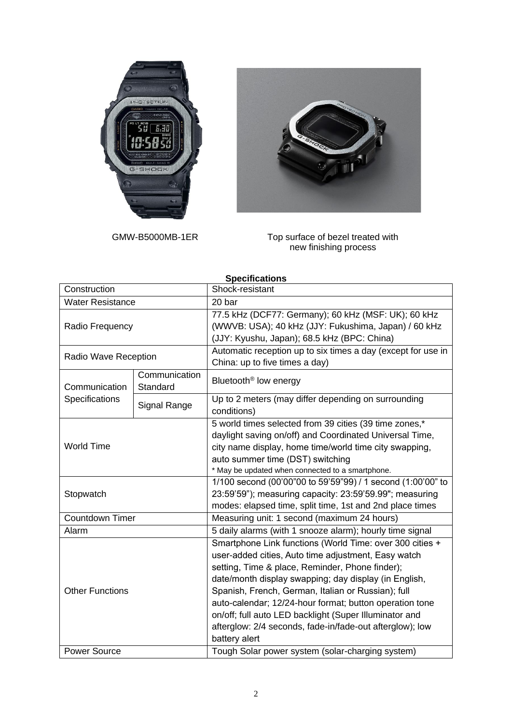



GMW-B5000MB-1ER Top surface of bezel treated with new finishing process

| <b>Specifications</b>           |                           |                                                                                                                                                                                                                                                                                                                                                                                                                                                                                     |
|---------------------------------|---------------------------|-------------------------------------------------------------------------------------------------------------------------------------------------------------------------------------------------------------------------------------------------------------------------------------------------------------------------------------------------------------------------------------------------------------------------------------------------------------------------------------|
| Construction                    |                           | Shock-resistant                                                                                                                                                                                                                                                                                                                                                                                                                                                                     |
| <b>Water Resistance</b>         |                           | 20 bar                                                                                                                                                                                                                                                                                                                                                                                                                                                                              |
| Radio Frequency                 |                           | 77.5 kHz (DCF77: Germany); 60 kHz (MSF: UK); 60 kHz<br>(WWVB: USA); 40 kHz (JJY: Fukushima, Japan) / 60 kHz<br>(JJY: Kyushu, Japan); 68.5 kHz (BPC: China)                                                                                                                                                                                                                                                                                                                          |
| Radio Wave Reception            |                           | Automatic reception up to six times a day (except for use in<br>China: up to five times a day)                                                                                                                                                                                                                                                                                                                                                                                      |
| Communication<br>Specifications | Communication<br>Standard | Bluetooth <sup>®</sup> low energy                                                                                                                                                                                                                                                                                                                                                                                                                                                   |
|                                 | Signal Range              | Up to 2 meters (may differ depending on surrounding<br>conditions)                                                                                                                                                                                                                                                                                                                                                                                                                  |
| <b>World Time</b>               |                           | 5 world times selected from 39 cities (39 time zones,*<br>daylight saving on/off) and Coordinated Universal Time,<br>city name display, home time/world time city swapping,<br>auto summer time (DST) switching<br>* May be updated when connected to a smartphone.                                                                                                                                                                                                                 |
| Stopwatch                       |                           | 1/100 second (00'00"00 to 59'59"99) / 1 second (1:00'00" to<br>23:59'59"); measuring capacity: 23:59'59.99"; measuring<br>modes: elapsed time, split time, 1st and 2nd place times                                                                                                                                                                                                                                                                                                  |
| <b>Countdown Timer</b>          |                           | Measuring unit: 1 second (maximum 24 hours)                                                                                                                                                                                                                                                                                                                                                                                                                                         |
| Alarm                           |                           | 5 daily alarms (with 1 snooze alarm); hourly time signal                                                                                                                                                                                                                                                                                                                                                                                                                            |
| <b>Other Functions</b>          |                           | Smartphone Link functions (World Time: over 300 cities +<br>user-added cities, Auto time adjustment, Easy watch<br>setting, Time & place, Reminder, Phone finder);<br>date/month display swapping; day display (in English,<br>Spanish, French, German, Italian or Russian); full<br>auto-calendar; 12/24-hour format; button operation tone<br>on/off; full auto LED backlight (Super Illuminator and<br>afterglow: 2/4 seconds, fade-in/fade-out afterglow); low<br>battery alert |
| <b>Power Source</b>             |                           | Tough Solar power system (solar-charging system)                                                                                                                                                                                                                                                                                                                                                                                                                                    |

## 2